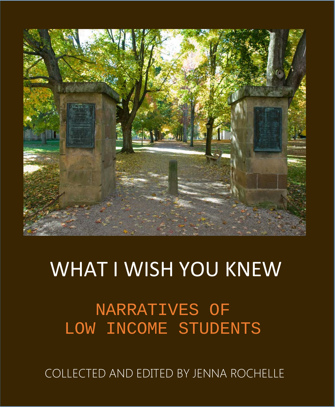

# WHAT I WISH YOU KNEW

NARRATIVES OF LOW INCOME STUDENTS

COLLECTED AND EDITED BY JENNA ROCHELLE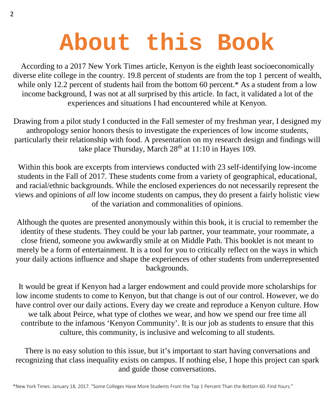# **About this Book**

According to a 2017 New York Times article, Kenyon is the eighth least socioeconomically diverse elite college in the country. 19.8 percent of students are from the top 1 percent of wealth, while only 12.2 percent of students hail from the bottom 60 percent.\* As a student from a low income background, I was not at all surprised by this article. In fact, it validated a lot of the experiences and situations I had encountered while at Kenyon.

Drawing from a pilot study I conducted in the Fall semester of my freshman year, I designed my anthropology senior honors thesis to investigate the experiences of low income students, particularly their relationship with food. A presentation on my research design and findings will take place Thursday, March 28<sup>th</sup> at 11:10 in Hayes 109.

Within this book are excerpts from interviews conducted with 23 self-identifying low-income students in the Fall of 2017. These students come from a variety of geographical, educational, and racial/ethnic backgrounds. While the enclosed experiences do not necessarily represent the views and opinions of *all* low income students on campus, they do present a fairly holistic view of the variation and commonalities of opinions.

Although the quotes are presented anonymously within this book, it is crucial to remember the identity of these students. They could be your lab partner, your teammate, your roommate, a close friend, someone you awkwardly smile at on Middle Path. This booklet is not meant to merely be a form of entertainment. It is a tool for you to critically reflect on the ways in which your daily actions influence and shape the experiences of other students from underrepresented backgrounds.

It would be great if Kenyon had a larger endowment and could provide more scholarships for low income students to come to Kenyon, but that change is out of our control. However, we do have control over our daily actions. Every day we create and reproduce a Kenyon culture. How we talk about Peirce, what type of clothes we wear, and how we spend our free time all contribute to the infamous 'Kenyon Community'. It is our job as students to ensure that this culture, this community, is inclusive and welcoming to all students.

There is no easy solution to this issue, but it's important to start having conversations and recognizing that class inequality exists on campus. If nothing else, I hope this project can spark and guide those conversations.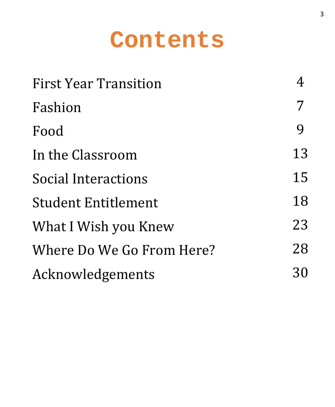# **Contents**

| <b>First Year Transition</b> |    |
|------------------------------|----|
| Fashion                      |    |
| Food                         | 9  |
| In the Classroom             | 13 |
| Social Interactions          | 15 |
| <b>Student Entitlement</b>   | 18 |
| What I Wish you Knew         | 23 |
| Where Do We Go From Here?    | 28 |
| Acknowledgements             | 30 |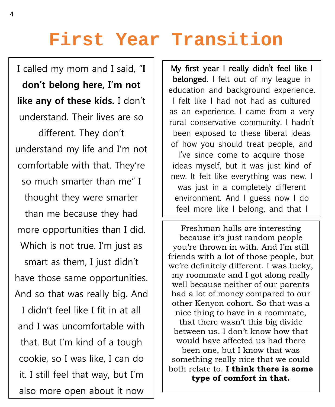# **First Year Transition**

 $\overline{a}$ 

I called my mom and I said, "**I don't belong here, I'm not like any of these kids.** I don't understand. Their lives are so different. They don't understand my life and I'm not comfortable with that. They're so much smarter than me" I thought they were smarter than me because they had more opportunities than I did. Which is not true. I'm just as smart as them, I just didn't have those same opportunities. And so that was really big. And I didn't feel like I fit in at all and I was uncomfortable with that. But I'm kind of a tough cookie, so I was like, I can do it. I still feel that way, but I'm also more open about it now

My first year I really didn't feel like I belonged. I felt out of my league in education and background experience. I felt like I had not had as cultured as an experience. I came from a very rural conservative community. I hadn't been exposed to these liberal ideas of how you should treat people, and I've since come to acquire those ideas myself, but it was just kind of new. It felt like everything was new, I was just in a completely different environment. And I guess now I do feel more like I belong, and that I

Ξ Freshman halls are interesting because it's just random people you're thrown in with. And I'm still friends with a lot of those people, but we're definitely different. I was lucky, my roommate and I got along really well because neither of our parents had a lot of money compared to our other Kenyon cohort. So that was a nice thing to have in a roommate, that there wasn't this big divide between us. I don't know how that would have affected us had there been one, but I know that was something really nice that we could both relate to. **I think there is some type of comfort in that.**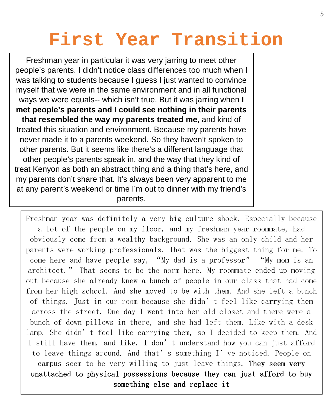# **First Year Transition**

Freshman year in particular it was very jarring to meet other people's parents. I didn't notice class differences too much when I was talking to students because I guess I just wanted to convince myself that we were in the same environment and in all functional ways we were equals-- which isn't true. But it was jarring when **I met people's parents and I could see nothing in their parents that resembled the way my parents treated me**, and kind of treated this situation and environment. Because my parents have never made it to a parents weekend. So they haven't spoken to other parents. But it seems like there's a different language that other people's parents speak in, and the way that they kind of treat Kenyon as both an abstract thing and a thing that's here, and my parents don't share that. It's always been very apparent to me at any parent's weekend or time I'm out to dinner with my friend's parents.

Freshman year was definitely a very big culture shock. Especially because a lot of the people on my floor, and my freshman year roommate, had obviously come from a wealthy background. She was an only child and her parents were working professionals. That was the biggest thing for me. To come here and have people say, "My dad is a professor" "My mom is an architect." That seems to be the norm here. My roommate ended up moving out because she already knew a bunch of people in our class that had come from her high school. And she moved to be with them. And she left a bunch of things. Just in our room because she didn't feel like carrying them across the street. One day I went into her old closet and there were a bunch of down pillows in there, and she had left them. Like with a desk lamp. She didn't feel like carrying them, so I decided to keep them. And I still have them, and like, I don't understand how you can just afford to leave things around. And that's something I've noticed. People on campus seem to be very willing to just leave things. They seem very unattached to physical possessions because they can just afford to buy something else and replace it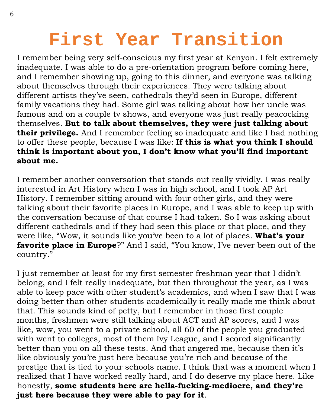# **First Year Transition**

I remember being very self-conscious my first year at Kenyon. I felt extremely inadequate. I was able to do a pre-orientation program before coming here, and I remember showing up, going to this dinner, and everyone was talking about themselves through their experiences. They were talking about different artists they've seen, cathedrals they'd seen in Europe, different family vacations they had. Some girl was talking about how her uncle was famous and on a couple tv shows, and everyone was just really peacocking themselves. **But to talk about themselves, they were just talking about their privilege.** And I remember feeling so inadequate and like I had nothing to offer these people, because I was like: **If this is what you think I should think is important about you, I don't know what you'll find important about me.**

I remember another conversation that stands out really vividly. I was really interested in Art History when I was in high school, and I took AP Art History. I remember sitting around with four other girls, and they were talking about their favorite places in Europe, and I was able to keep up with the conversation because of that course I had taken. So I was asking about different cathedrals and if they had seen this place or that place, and they were like, "Wow, it sounds like you've been to a lot of places. **What's your favorite place in Europe**?" And I said, "You know, I've never been out of the country."

I just remember at least for my first semester freshman year that I didn't belong, and I felt really inadequate, but then throughout the year, as I was able to keep pace with other student's academics, and when I saw that I was doing better than other students academically it really made me think about that. This sounds kind of petty, but I remember in those first couple months, freshmen were still talking about ACT and AP scores, and I was like, wow, you went to a private school, all 60 of the people you graduated with went to colleges, most of them Ivy League, and I scored significantly better than you on all these tests. And that angered me, because then it's like obviously you're just here because you're rich and because of the prestige that is tied to your schools name. I think that was a moment when I realized that I have worked really hard, and I do deserve my place here. Like honestly, **some students here are hella-fucking-mediocre, and they're just here because they were able to pay for it**.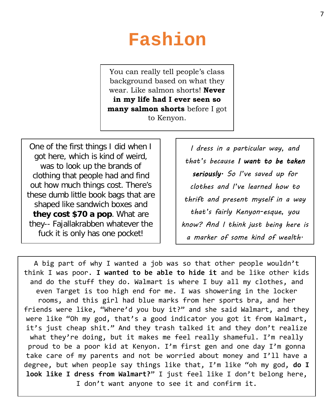### **Fashion**

You can really tell people's class background based on what they wear. Like salmon shorts! **Never in my life had I ever seen so many salmon shorts** before I got to Kenyon.

One of the first things I did when I got here, which is kind of weird, was to look up the brands of clothing that people had and find out how much things cost. There's these dumb little book bags that are shaped like sandwich boxes and **they cost \$70 a pop**. What are they-- Fajallakrabben whatever the fuck it is only has one pocket!

*I dress in a particular way, and that's because I want to be taken seriously. So I've saved up for clothes and I've learned how to thrift and present myself in a way that's fairly Kenyon-esque, you know? And I think just being here is a marker of some kind of wealth.*

A big part of why I wanted a job was so that other people wouldn't think I was poor. **I wanted to be able to hide it** and be like other kids and do the stuff they do. Walmart is where I buy all my clothes, and even Target is too high end for me. I was showering in the locker rooms, and this girl had blue marks from her sports bra, and her friends were like, "Where'd you buy it?" and she said Walmart, and they were like "Oh my god, that's a good indicator you got it from Walmart, it's just cheap shit." And they trash talked it and they don't realize what they're doing, but it makes me feel really shameful. I'm really proud to be a poor kid at Kenyon. I'm first gen and one day I'm gonna take care of my parents and not be worried about money and I'll have a degree, but when people say things like that, I'm like "oh my god, **do I look like I dress from Walmart?**" I just feel like I don't belong here, I don't want anyone to see it and confirm it.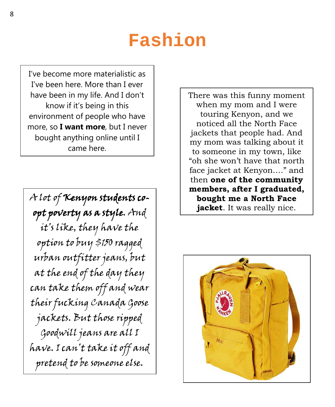### **Fashion**

I've become more materialistic as I've been here. More than I ever have been in my life. And I don't know if it's being in this environment of people who have more, so **I want more**, but I never bought anything online until I came here.

A lot of Kenyon students coopt poverty as a style. And it's like, they have the option to buy \$150 ragged urban outfitter jeans, but at the end of the day they can take them off and wear their fucking Canada Goose jackets. But those ripped Goodwill jeans are all I have. I can't take it off and pretend to be someone else.

There was this funny moment when my mom and I were touring Kenyon, and we noticed all the North Face jackets that people had. And my mom was talking about it to someone in my town, like "oh she won't have that north face jacket at Kenyon…." and then **one of the community members, after I graduated, bought me a North Face jacket**. It was really nice.

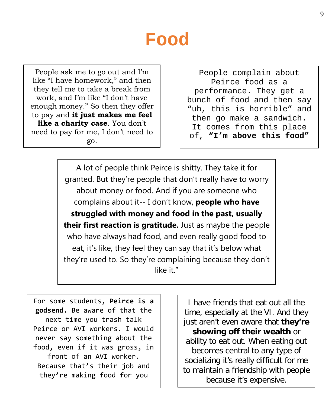People ask me to go out and I'm like "I have homework," and then they tell me to take a break from work, and I'm like "I don't have enough money." So then they offer to pay and **it just makes me feel like a charity case**. You don't need to pay for me, I don't need to go.

People complain about Peirce food as a performance. They get a bunch of food and then say "uh, this is horrible" and then go make a sandwich. It comes from this place of, **"I'm above this food"**

A lot of people think Peirce is shitty. They take it for granted. But they're people that don't really have to worry about money or food. And if you are someone who complains about it-- I don't know, **people who have struggled with money and food in the past, usually their first reaction is gratitude.** Just as maybe the people who have always had food, and even really good food to eat, it's like, they feel they can say that it's below what they're used to. So they're complaining because they don't like it."

For some students, **Peirce is a godsend.** Be aware of that the next time you trash talk Peirce or AVI workers. I would never say something about the food, even if it was gross, in front of an AVI worker. Because that's their job and they're making food for you

I have friends that eat out all the time, especially at the VI. And they just aren't even aware that **they're showing off their wealth** or ability to eat out. When eating out becomes central to any type of socializing it's really difficult for me to maintain a friendship with people because it's expensive.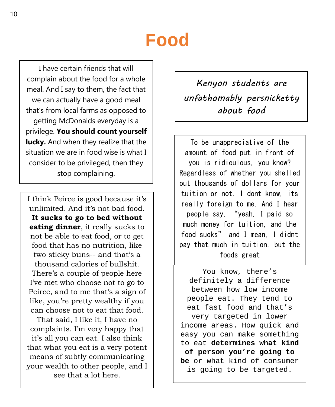I have certain friends that will complain about the food for a whole meal. And I say to them, the fact that we can actually have a good meal that's from local farms as opposed to getting McDonalds everyday is a privilege. **You should count yourself lucky.** And when they realize that the situation we are in food wise is what I consider to be privileged, then they stop complaining.

I think Peirce is good because it's unlimited. And it's not bad food. **It sucks to go to bed without eating dinner**, it really sucks to not be able to eat food, or to get food that has no nutrition, like two sticky buns-- and that's a thousand calories of bullshit. There's a couple of people here I've met who choose not to go to Peirce, and to me that's a sign of like, you're pretty wealthy if you can choose not to eat that food.

That said, I like it, I have no complaints. I'm very happy that it's all you can eat. I also think that what you eat is a very potent means of subtly communicating your wealth to other people, and I see that a lot here.

*Kenyon students are unfathomably persnicketty about food*

To be unappreciative of the amount of food put in front of you is ridiculous, you know? Regardless of whether you shelled out thousands of dollars for your tuition or not. I dont know, its really foreign to me. And I hear people say, "yeah, I paid so much money for tuition, and the food sucks" and I mean, I didnt pay that much in tuition, but the foods great

You know, there's definitely a difference between how low income people eat. They tend to eat fast food and that's very targeted in lower income areas. How quick and easy you can make something to eat **determines what kind of person you're going to be** or what kind of consumer is going to be targeted.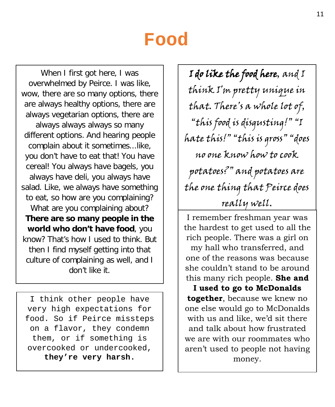When I first got here, I was overwhelmed by Peirce. I was like, wow, there are so many options, there are always healthy options, there are always vegetarian options, there are always always always so many different options. And hearing people complain about it sometimes...like, you don't have to eat that! You have cereal! You always have bagels, you always have deli, you always have salad. Like, we always have something to eat, so how are you complaining? What are you complaining about? **There are so many people in the world who don't have food**, you know? That's how I used to think. But then I find myself getting into that culture of complaining as well, and I don't like it.

I think other people have very high expectations for food. So if Peirce missteps on a flavor, they condemn them, or if something is overcooked or undercooked, **they're very harsh.**

I do like the food here, and I think I'm pretty unique in that. There's a whole lot of, "this food is disgusting!" "I hate this!" "this is gross" "does no one know how to cook potatoes?" and potatoes are the one thing that Peirce does really well.

I remember freshman year was the hardest to get used to all the rich people. There was a girl on my hall who transferred, and one of the reasons was because she couldn't stand to be around this many rich people. **She and** 

**I used to go to McDonalds together**, because we knew no one else would go to McDonalds with us and like, we'd sit there and talk about how frustrated we are with our roommates who aren't used to people not having money.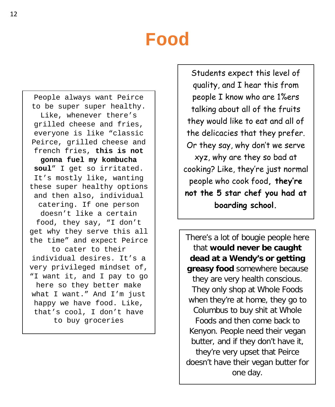People always want Peirce to be super super healthy. Like, whenever there's grilled cheese and fries, everyone is like "classic Peirce, grilled cheese and french fries, **this is not gonna fuel my kombucha soul**" I get so irritated. It's mostly like, wanting these super healthy options and then also, individual catering. If one person doesn't like a certain food, they say, "I don't get why they serve this all the time" and expect Peirce to cater to their individual desires. It's a very privileged mindset of, "I want it, and I pay to go here so they better make what I want." And I'm just happy we have food. Like, that's cool, I don't have to buy groceries

Students expect this level of quality, and I hear this from people I know who are 1%ers talking about all of the fruits they would like to eat and all of the delicacies that they prefer. Or they say, why don't we serve xyz, why are they so bad at cooking? Like, they're just normal people who cook food**, they're not the 5 star chef you had at boarding school.**

There's a lot of bougie people here that **would never be caught dead at a Wendy's or getting greasy food** somewhere because they are very health conscious. They only shop at Whole Foods when they're at home, they go to Columbus to buy shit at Whole Foods and then come back to Kenyon. People need their vegan butter, and if they don't have it, they're very upset that Peirce doesn't have their vegan butter for one day.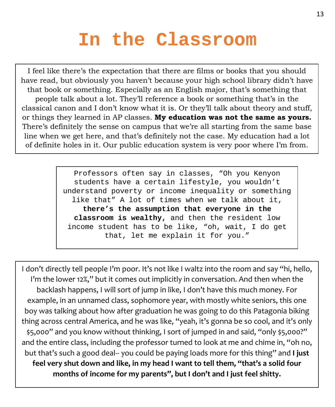# **In the Classroom**

I feel like there's the expectation that there are films or books that you should have read, but obviously you haven't because your high school library didn't have that book or something. Especially as an English major, that's something that people talk about a lot. They'll reference a book or something that's in the classical canon and I don't know what it is. Or they'll talk about theory and stuff, or things they learned in AP classes. **My education was not the same as yours.**  There's definitely the sense on campus that we're all starting from the same base line when we get here, and that's definitely not the case. My education had a lot of definite holes in it. Our public education system is very poor where I'm from.

> Professors often say in classes, "Oh you Kenyon students have a certain lifestyle, you wouldn't understand poverty or income inequality or something like that" A lot of times when we talk about it, **there's the assumption that everyone in the classroom is wealthy,** and then the resident low income student has to be like, "oh, wait, I do get that, let me explain it for you."

I don't directly tell people I'm poor. It's not like I waltz into the room and say "hi, hello, I'm the lower 12%," but it comes out implicitly in conversation. And then when the backlash happens, I will sort of jump in like, I don't have this much money. For example, in an unnamed class, sophomore year, with mostly white seniors, this one boy was talking about how after graduation he was going to do this Patagonia biking thing across central America, and he was like, "yeah, it's gonna be so cool, and it's only \$5,000" and you know without thinking, I sort of jumped in and said, "only \$5,000?" and the entire class, including the professor turned to look at me and chime in, "oh no, but that's such a good deal-- you could be paying loads more for this thing" and **I just feel very shut down and like, in my head I want to tell them, "that's a solid four months of income for my parents", but I don't and I just feel shitty.**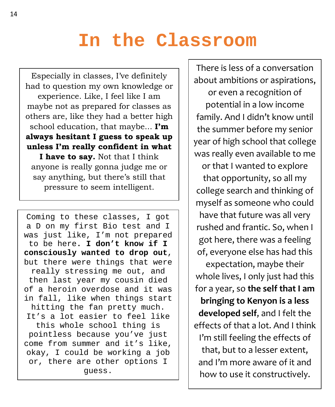#### **In the Classroom**

Especially in classes, I've definitely had to question my own knowledge or experience. Like, I feel like I am maybe not as prepared for classes as others are, like they had a better high school education, that maybe... **I'm always hesitant I guess to speak up unless I'm really confident in what I have to say.** Not that I think

anyone is really gonna judge me or say anything, but there's still that pressure to seem intelligent.

Coming to these classes, I got a D on my first Bio test and I was just like, I'm not prepared to be here**. I don't know if I consciously wanted to drop out**, but there were things that were really stressing me out, and then last year my cousin died of a heroin overdose and it was in fall, like when things start hitting the fan pretty much. It's a lot easier to feel like this whole school thing is pointless because you've just come from summer and it's like, okay, I could be working a job or, there are other options I guess.

There is less of a conversation about ambitions or aspirations,

or even a recognition of potential in a low income family. And I didn't know until the summer before my senior year of high school that college was really even available to me

or that I wanted to explore that opportunity, so all my college search and thinking of myself as someone who could have that future was all very rushed and frantic. So, when I got here, there was a feeling of, everyone else has had this

expectation, maybe their whole lives, I only just had this for a year, so **the self that I am bringing to Kenyon is a less developed self**, and I felt the effects of that a lot. And I think I'm still feeling the effects of that, but to a lesser extent, and I'm more aware of it and how to use it constructively.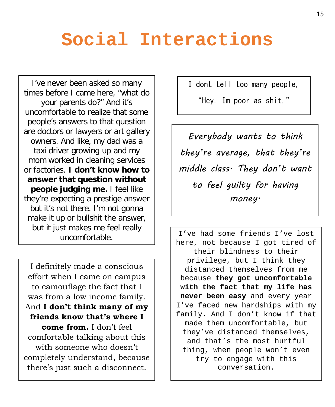## **Social Interactions**

I've never been asked so many times before I came here, "what do your parents do?" And it's uncomfortable to realize that some people's answers to that question are doctors or lawyers or art gallery owners. And like, my dad was a taxi driver growing up and my mom worked in cleaning services or factories. **I don't know how to answer that question without people judging me.** I feel like they're expecting a prestige answer but it's not there. I'm not gonna make it up or bullshit the answer, but it just makes me feel really uncomfortable.

I definitely made a conscious effort when I came on campus to camouflage the fact that I was from a low income family. And **I don't think many of my friends know that's where I come from.** I don't feel comfortable talking about this with someone who doesn't completely understand, because there's just such a disconnect.

I dont tell too many people,

"Hey, Im poor as shit."

*Everybody wants to think they're average, that they're middle class. They don't want to feel guilty for having money.*

I've had some friends I've lost here, not because I got tired of their blindness to their privilege, but I think they distanced themselves from me because **they got uncomfortable with the fact that my life has never been easy** and every year I've faced new hardships with my family. And I don't know if that made them uncomfortable, but they've distanced themselves, and that's the most hurtful thing, when people won't even try to engage with this conversation.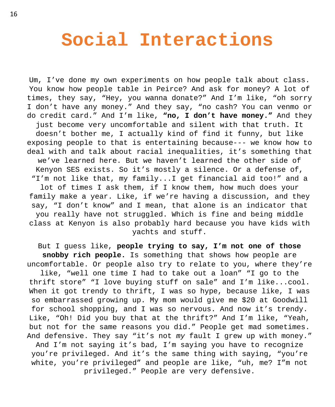#### **Social Interactions**

Um, I've done my own experiments on how people talk about class. You know how people table in Peirce? And ask for money? A lot of times, they say, "Hey, you wanna donate?" And I'm like, "oh sorry I don't have any money." And they say, "no cash? You can venmo or do credit card." And I'm like, **"no, I don't have money."** And they just become very uncomfortable and silent with that truth. It doesn't bother me, I actually kind of find it funny, but like exposing people to that is entertaining because--- we know how to deal with and talk about racial inequalities, it's something that we've learned here. But we haven't learned the other side of Kenyon SES exists. So it's mostly a silence. Or a defense of, "I'm not like that, my family...I get financial aid too!" and a lot of times I ask them, if I know them, how much does your family make a year. Like, if we're having a discussion, and they say, "I don't know" and I mean, that alone is an indicator that you really have not struggled. Which is fine and being middle class at Kenyon is also probably hard because you have kids with yachts and stuff.

But I guess like, **people trying to say, I'm not one of those snobby rich people.** Is something that shows how people are uncomfortable. Or people also try to relate to you, where they're like, "well one time I had to take out a loan" "I go to the thrift store" "I love buying stuff on sale" and I'm like...cool. When it got trendy to thrift, I was so hype, because like, I was so embarrassed growing up. My mom would give me \$20 at Goodwill for school shopping, and I was so nervous. And now it's trendy. Like, "Oh! Did you buy that at the thrift?" And I'm like, "Yeah, but not for the same reasons you did." People get mad sometimes. And defensive. They say "it's not *my* fault I grew up with money." And I'm not saying it's bad, I'm saying you have to recognize you're privileged. And it's the same thing with saying, "you're

white, you're privileged" and people are like, "uh, me? I"m not privileged." People are very defensive.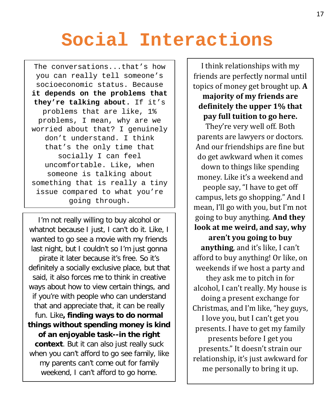# **Social Interactions**

The conversations...that's how you can really tell someone's socioeconomic status. Because **it depends on the problems that they're talking about.** If it's problems that are like, 1% problems, I mean, why are we worried about that? I genuinely don't understand. I think that's the only time that socially I can feel uncomfortable. Like, when someone is talking about something that is really a tiny issue compared to what you're going through.

I'm not really willing to buy alcohol or whatnot because I just, I can't do it. Like, I wanted to go see a movie with my friends last night, but I couldn't so I'm just gonna pirate it later because it's free. So it's definitely a socially exclusive place, but that said, it also forces me to think in creative ways about how to view certain things, and if you're with people who can understand that and appreciate that, it can be really fun. Like**, finding ways to do normal things without spending money is kind of an enjoyable task--in the right context**. But it can also just really suck when you can't afford to go see family, like my parents can't come out for family weekend, I can't afford to go home.

I think relationships with my friends are perfectly normal until topics of money get brought up. **A**

#### **majority of my friends are definitely the upper 1% that pay full tuition to go here.**

They're very well off. Both parents are lawyers or doctors. And our friendships are fine but do get awkward when it comes down to things like spending money. Like it's a weekend and people say, "I have to get off campus, lets go shopping." And I mean, I'll go with you, but I'm not going to buy anything. **And they look at me weird, and say, why aren't you going to buy anything**, and it's like, I can't afford to buy anything! Or like, on weekends if we host a party and they ask me to pitch in for alcohol, I can't really. My house is doing a present exchange for Christmas, and I'm like, "hey guys, I love you, but I can't get you presents. I have to get my family presents before I get you presents." It doesn't strain our relationship, it's just awkward for me personally to bring it up.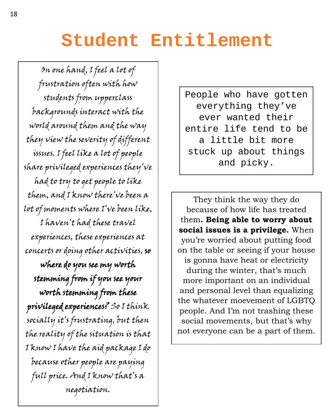On one hand, I feel a lot of frustration often with how students from upperclass backgrounds interact with the world around them and the way they view the severity of different issues. I feel like a lot of people share privileged experiences they've had to try to get people to like them, and I know there've been a lot of moments where I've been like, I haven't had these travel experiences, these experiences at concerts or doing other activities, so where do you see my worth stemming from if you see your worth stemming from these privileged experiences? So I think socially it's frustrating, but then the reality of the situation is that I know I have the aid package I do because other people are paying full price. And I know that's a negotiation.

People who have gotten everything they've ever wanted their entire life tend to be a little bit more stuck up about things and picky.

They think the way they do because of how life has treated them**. Being able to worry about social issues is a privilege.** When you're worried about putting food on the table or seeing if your house is gonna have heat or electricity during the winter, that's much more important on an individual and personal level than equalizing the whatever moevement of LGBTQ people. And I'm not trashing these social movements, but that's why not everyone can be a part of them.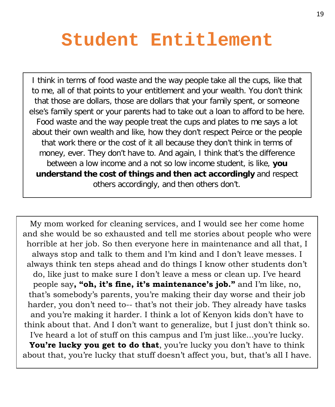I think in terms of food waste and the way people take all the cups, like that to me, all of that points to your entitlement and your wealth. You don't think that those are dollars, those are dollars that your family spent, or someone else's family spent or your parents had to take out a loan to afford to be here. Food waste and the way people treat the cups and plates to me says a lot about their own wealth and like, how they don't respect Peirce or the people that work there or the cost of it all because they don't think in terms of money, ever. They don't have to. And again, I think that's the difference between a low income and a not so low income student, is like, **you understand the cost of things and then act accordingly** and respect others accordingly, and then others don't.

My mom worked for cleaning services, and I would see her come home and she would be so exhausted and tell me stories about people who were horrible at her job. So then everyone here in maintenance and all that, I always stop and talk to them and I'm kind and I don't leave messes. I always think ten steps ahead and do things I know other students don't do, like just to make sure I don't leave a mess or clean up. I've heard people say**, "oh, it's fine, it's maintenance's job."** and I'm like, no, that's somebody's parents, you're making their day worse and their job harder, you don't need to-- that's not their job. They already have tasks and you're making it harder. I think a lot of Kenyon kids don't have to think about that. And I don't want to generalize, but I just don't think so. I've heard a lot of stuff on this campus and I'm just like...you're lucky. You're lucky you get to do that, you're lucky you don't have to think about that, you're lucky that stuff doesn't affect you, but, that's all I have.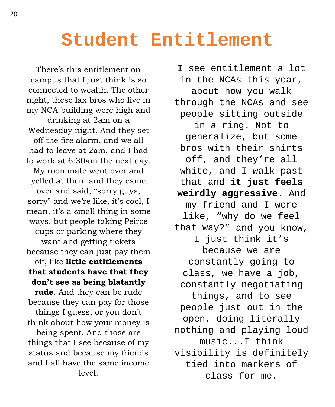There's this entitlement on campus that I just think is so connected to wealth. The other night, these lax bros who live in my NCA building were high and drinking at 2am on a Wednesday night. And they set off the fire alarm, and we all had to leave at 2am, and I had to work at 6:30am the next day. My roommate went over and yelled at them and they came over and said, "sorry guys, sorry" and we're like, it's cool, I mean, it's a small thing in some ways, but people taking Peirce cups or parking where they want and getting tickets because they can just pay them off, like **little entitlements that students have that they don't see as being blatantly rude**. And they can be rude because they can pay for those things I guess, or you don't think about how your money is being spent. And those are things that I see because of my status and because my friends and I all have the same income level.

I see entitlement a lot in the NCAs this year, about how you walk through the NCAs and see people sitting outside in a ring. Not to generalize, but some bros with their shirts off, and they're all white, and I walk past that and **it just feels weirdly aggressive.** And my friend and I were like, "why do we feel that way?" and you know, I just think it's because we are constantly going to class, we have a job, constantly negotiating things, and to see people just out in the open, doing literally nothing and playing loud music...I think visibility is definitely tied into markers of class for me.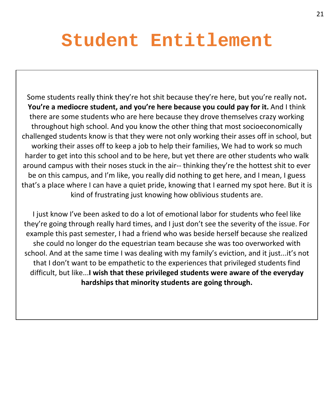Some students really think they're hot shit because they're here, but you're really not**. You're a mediocre student, and you're here because you could pay for it.** And I think there are some students who are here because they drove themselves crazy working throughout high school. And you know the other thing that most socioeconomically challenged students know is that they were not only working their asses off in school, but working their asses off to keep a job to help their families, We had to work so much harder to get into this school and to be here, but yet there are other students who walk around campus with their noses stuck in the air-- thinking they're the hottest shit to ever be on this campus, and I'm like, you really did nothing to get here, and I mean, I guess that's a place where I can have a quiet pride, knowing that I earned my spot here. But it is kind of frustrating just knowing how oblivious students are.

I just know I've been asked to do a lot of emotional labor for students who feel like they're going through really hard times, and I just don't see the severity of the issue. For example this past semester, I had a friend who was beside herself because she realized she could no longer do the equestrian team because she was too overworked with school. And at the same time I was dealing with my family's eviction, and it just...it's not that I don't want to be empathetic to the experiences that privileged students find difficult, but like...**I wish that these privileged students were aware of the everyday hardships that minority students are going through.**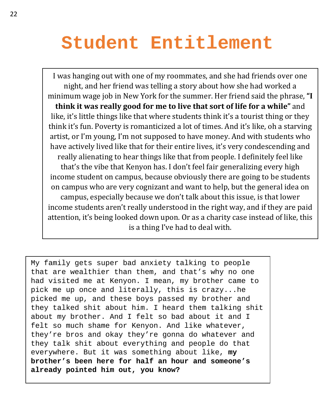I was hanging out with one of my roommates, and she had friends over one night, and her friend was telling a story about how she had worked a minimum wage job in New York for the summer. Her friend said the phrase, **"I think it was really good for me to live that sort of life for a while"** and like, it's little things like that where students think it's a tourist thing or they think it's fun. Poverty is romanticized a lot of times. And it's like, oh a starving artist, or I'm young, I'm not supposed to have money. And with students who have actively lived like that for their entire lives, it's very condescending and really alienating to hear things like that from people. I definitely feel like that's the vibe that Kenyon has. I don't feel fair generalizing every high income student on campus, because obviously there are going to be students on campus who are very cognizant and want to help, but the general idea on campus, especially because we don't talk about this issue, is that lower income students aren't really understood in the right way, and if they are paid attention, it's being looked down upon. Or as a charity case instead of like, this is a thing I've had to deal with.

My family gets super bad anxiety talking to people that are wealthier than them, and that's why no one had visited me at Kenyon. I mean, my brother came to pick me up once and literally, this is crazy...he picked me up, and these boys passed my brother and they talked shit about him. I heard them talking shit about my brother. And I felt so bad about it and I felt so much shame for Kenyon. And like whatever, they're bros and okay they're gonna do whatever and they talk shit about everything and people do that everywhere. But it was something about like, **my brother's been here for half an hour and someone's already pointed him out, you know?**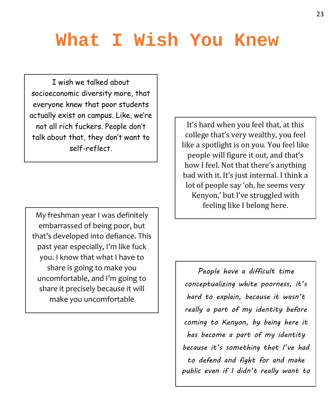I wish we talked about socioeconomic diversity more, that everyone knew that poor students actually exist on campus. Like, we're not all rich fuckers. People don't talk about that, they don't want to self-reflect.

My freshman year I was definitely embarrassed of being poor, but that's developed into defiance. This past year especially, I'm like fuck you. I know that what I have to share is going to make you uncomfortable, and I'm going to share it precisely because it will make you uncomfortable

It's hard when you feel that, at this college that's very wealthy, you feel like a spotlight is on you. You feel like people will figure it out, and that's how I feel. Not that there's anything bad with it. It's just internal. I think a lot of people say 'oh, he seems very Kenyon,' but I've struggled with feeling like I belong here.

*People have a difficult time conceptualizing white poorness, it's hard to explain, because it wasn't really a part of my identity before coming to Kenyon, by being here it has become a part of my identity because it's something that I've had to defend and fight for and make public even if I didn't really want to*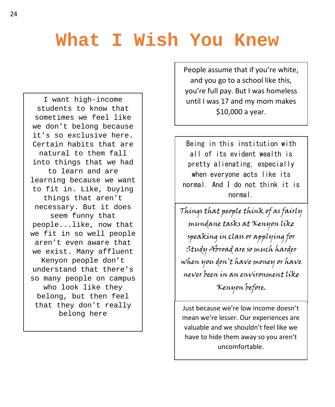I want high-income students to know that sometimes we feel like we don't belong because it's so exclusive here. Certain habits that are natural to them fall into things that we had to learn and are learning because we want to fit in. Like, buying things that aren't necessary. But it does seem funny that people...like, now that we fit in so well people aren't even aware that we exist. Many affluent Kenyon people don't understand that there's so many people on campus who look like they belong, but then feel that they don't really belong here

People assume that if you're white, and you go to a school like this, you're full pay. But I was homeless until I was 17 and my mom makes \$10,000 a year.

Being in this institution with all of its evident wealth is pretty alienating, especially when everyone acts like its normal. And I do not think it is normal.

Things that people think of as fairly mundane tasks at Kenyon like speaking in class or applying for Study Abroad are so much harder when you don't have money or have never been in an environment like Kenyon before.

Just because we're low income doesn't mean we're lesser. Our experiences are valuable and we shouldn't feel like we have to hide them away so you aren't uncomfortable.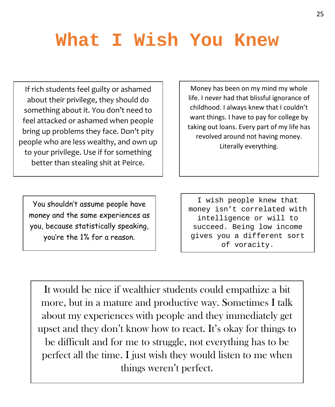If rich students feel guilty or ashamed about their privilege, they should do something about it. You don't need to feel attacked or ashamed when people bring up problems they face. Don't pity people who are less wealthy, and own up to your privilege. Use if for something better than stealing shit at Peirce.

Money has been on my mind my whole life. I never had that blissful ignorance of childhood. I always knew that I couldn't want things. I have to pay for college by taking out loans. Every part of my life has revolved around not having money. Literally everything.

You shouldn't assume people have money and the same experiences as you, because statistically speaking, you're the 1% for a reason.

I wish people knew that money isn't correlated with intelligence or will to succeed. Being low income gives you a different sort of voracity.

It would be nice if wealthier students could empathize a bit more, but in a mature and productive way. Sometimes I talk about my experiences with people and they immediately get upset and they don't know how to react. It's okay for things to be difficult and for me to struggle, not everything has to be perfect all the time. I just wish they would listen to me when things weren't perfect.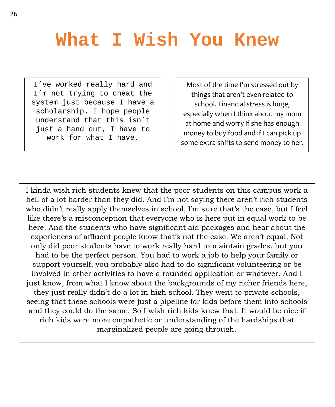I've worked really hard and I'm not trying to cheat the system just because I have a scholarship. I hope people understand that this isn't just a hand out, I have to work for what I have.

Most of the time I'm stressed out by things that aren't even related to school. Financial stress is huge, especially when I think about my mom at home and worry if she has enough money to buy food and if I can pick up some extra shifts to send money to her.

I kinda wish rich students knew that the poor students on this campus work a hell of a lot harder than they did. And I'm not saying there aren't rich students who didn't really apply themselves in school, I'm sure that's the case, but I feel like there's a misconception that everyone who is here put in equal work to be here. And the students who have significant aid packages and hear about the experiences of affluent people know that's not the case. We aren't equal. Not only did poor students have to work really hard to maintain grades, but you had to be the perfect person. You had to work a job to help your family or support yourself, you probably also had to do significant volunteering or be involved in other activities to have a rounded application or whatever. And I just know, from what I know about the backgrounds of my richer friends here, they just really didn't do a lot in high school. They went to private schools, seeing that these schools were just a pipeline for kids before them into schools and they could do the same. So I wish rich kids knew that. It would be nice if rich kids were more empathetic or understanding of the hardships that marginalized people are going through.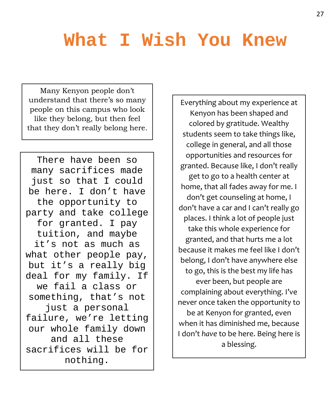Many Kenyon people don't understand that there's so many people on this campus who look like they belong, but then feel that they don't really belong here.

There have been so many sacrifices made just so that I could be here. I don't have the opportunity to party and take college for granted. I pay tuition, and maybe it's not as much as what other people pay, but it's a really big deal for my family. If we fail a class or something, that's not just a personal failure, we're letting our whole family down and all these sacrifices will be for nothing.

Everything about my experience at Kenyon has been shaped and colored by gratitude. Wealthy students seem to take things like, college in general, and all those opportunities and resources for granted. Because like, I don't really get to go to a health center at home, that all fades away for me. I don't get counseling at home, I don't have a car and I can't really go places. I think a lot of people just take this whole experience for granted, and that hurts me a lot because it makes me feel like I don't belong, I don't have anywhere else to go, this is the best my life has ever been, but people are complaining about everything. I've never once taken the opportunity to be at Kenyon for granted, even when it has diminished me, because I don't *have* to be here. Being here is a blessing.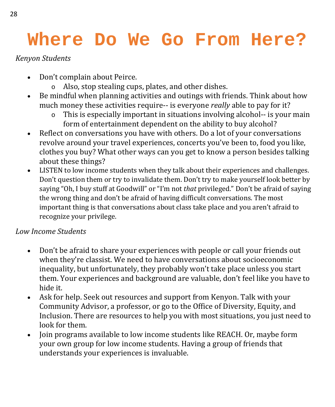### **Where Do We Go From Here?**

#### *Kenyon Students*

- Don't complain about Peirce.
	- o Also, stop stealing cups, plates, and other dishes.
- Be mindful when planning activities and outings with friends. Think about how much money these activities require-- is everyone *really* able to pay for it?
	- o This is especially important in situations involving alcohol-- is your main form of entertainment dependent on the ability to buy alcohol?
- Reflect on conversations you have with others. Do a lot of your conversations revolve around your travel experiences, concerts you've been to, food you like, clothes you buy? What other ways can you get to know a person besides talking about these things?
- LISTEN to low income students when they talk about their experiences and challenges. Don't question them or try to invalidate them. Don't try to make yourself look better by saying "Oh, I buy stuff at Goodwill" or "I'm not *that* privileged." Don't be afraid of saying the wrong thing and don't be afraid of having difficult conversations. The most important thing is that conversations about class take place and you aren't afraid to recognize your privilege.

#### *Low Income Students*

- Don't be afraid to share your experiences with people or call your friends out when they're classist. We need to have conversations about socioeconomic inequality, but unfortunately, they probably won't take place unless you start them. Your experiences and background are valuable, don't feel like you have to hide it.
- Ask for help. Seek out resources and support from Kenyon. Talk with your Community Advisor, a professor, or go to the Office of Diversity, Equity, and Inclusion. There are resources to help you with most situations, you just need to look for them.
- Join programs available to low income students like REACH. Or, maybe form your own group for low income students. Having a group of friends that understands your experiences is invaluable.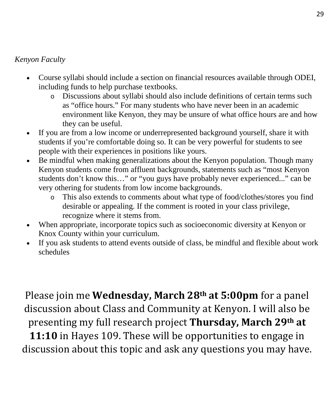#### *Kenyon Faculty*

- Course syllabi should include a section on financial resources available through ODEI, including funds to help purchase textbooks.
	- o Discussions about syllabi should also include definitions of certain terms such as "office hours." For many students who have never been in an academic environment like Kenyon, they may be unsure of what office hours are and how they can be useful.
- If you are from a low income or underrepresented background yourself, share it with students if you're comfortable doing so. It can be very powerful for students to see people with their experiences in positions like yours.
- Be mindful when making generalizations about the Kenyon population. Though many Kenyon students come from affluent backgrounds, statements such as "most Kenyon students don't know this…" or "you guys have probably never experienced..." can be very othering for students from low income backgrounds.
	- o This also extends to comments about what type of food/clothes/stores you find desirable or appealing. If the comment is rooted in your class privilege, recognize where it stems from.
- When appropriate, incorporate topics such as socioeconomic diversity at Kenyon or Knox County within your curriculum.
- If you ask students to attend events outside of class, be mindful and flexible about work schedules

Please join me **Wednesday, March 28th at 5:00pm** for a panel discussion about Class and Community at Kenyon. I will also be presenting my full research project **Thursday, March 29th at** 

**11:10** in Hayes 109. These will be opportunities to engage in discussion about this topic and ask any questions you may have.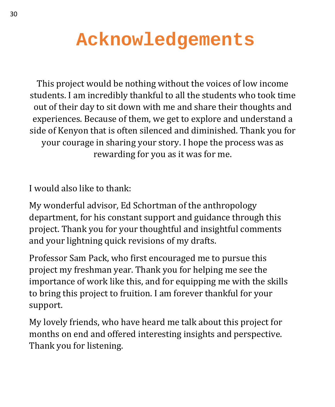# **Acknowledgements**

This project would be nothing without the voices of low income students. I am incredibly thankful to all the students who took time out of their day to sit down with me and share their thoughts and experiences. Because of them, we get to explore and understand a side of Kenyon that is often silenced and diminished. Thank you for your courage in sharing your story. I hope the process was as rewarding for you as it was for me.

I would also like to thank:

My wonderful advisor, Ed Schortman of the anthropology department, for his constant support and guidance through this project. Thank you for your thoughtful and insightful comments and your lightning quick revisions of my drafts.

Professor Sam Pack, who first encouraged me to pursue this project my freshman year. Thank you for helping me see the importance of work like this, and for equipping me with the skills to bring this project to fruition. I am forever thankful for your support.

My lovely friends, who have heard me talk about this project for months on end and offered interesting insights and perspective. Thank you for listening.